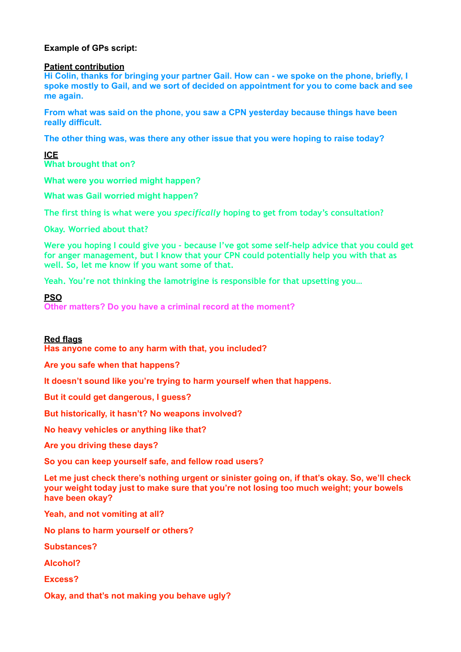# **Example of GPs script:**

## **Patient contribution**

**Hi Colin, thanks for bringing your partner Gail. How can - we spoke on the phone, briefly, I spoke mostly to Gail, and we sort of decided on appointment for you to come back and see me again.** 

**From what was said on the phone, you saw a CPN yesterday because things have been really difficult.** 

**The other thing was, was there any other issue that you were hoping to raise today?** 

**ICE What brought that on?**

**What were you worried might happen?** 

**What was Gail worried might happen?** 

**The first thing is what were you** *specifically* **hoping to get from today's consultation?** 

**Okay. Worried about that?** 

**Were you hoping I could give you - because I've got some self-help advice that you could get for anger management, but I know that your CPN could potentially help you with that as well. So, let me know if you want some of that.** 

**Yeah. You're not thinking the lamotrigine is responsible for that upsetting you…**

## **PSO**

**Other matters? Do you have a criminal record at the moment?**

# **Red flags**

**Has anyone come to any harm with that, you included?** 

**Are you safe when that happens?** 

**It doesn't sound like you're trying to harm yourself when that happens.** 

**But it could get dangerous, I guess?** 

**But historically, it hasn't? No weapons involved?** 

**No heavy vehicles or anything like that?** 

**Are you driving these days?** 

**So you can keep yourself safe, and fellow road users?** 

**Let me just check there's nothing urgent or sinister going on, if that's okay. So, we'll check your weight today just to make sure that you're not losing too much weight; your bowels have been okay?** 

**Yeah, and not vomiting at all?** 

**No plans to harm yourself or others?** 

**Substances?** 

**Alcohol?** 

**Excess?** 

**Okay, and that's not making you behave ugly?**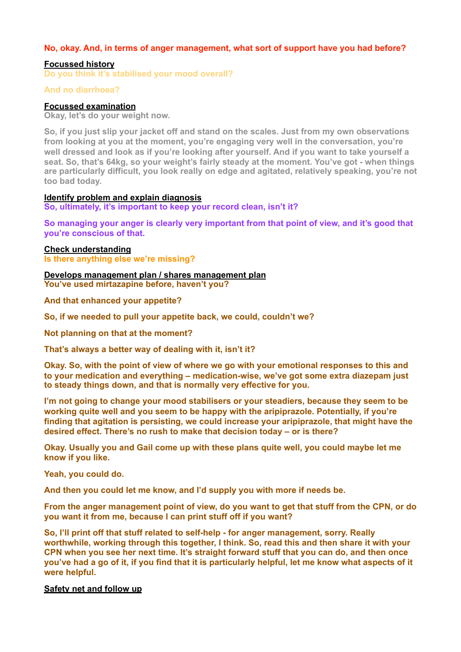# **No, okay. And, in terms of anger management, what sort of support have you had before?**

# **Focussed history**

**Do you think it's stabilised your mood overall?** 

## **And no diarrhoea?**

## **Focussed examination**

**Okay, let's do your weight now.** 

**So, if you just slip your jacket off and stand on the scales. Just from my own observations from looking at you at the moment, you're engaging very well in the conversation, you're well dressed and look as if you're looking after yourself. And if you want to take yourself a seat. So, that's 64kg, so your weight's fairly steady at the moment. You've got - when things are particularly difficult, you look really on edge and agitated, relatively speaking, you're not too bad today.**

#### **Identify problem and explain diagnosis**

**So, ultimately, it's important to keep your record clean, isn't it?** 

**So managing your anger is clearly very important from that point of view, and it's good that you're conscious of that.** 

## **Check understanding**

**Is there anything else we're missing?** 

#### **Develops management plan / shares management plan You've used mirtazapine before, haven't you?**

**And that enhanced your appetite?** 

**So, if we needed to pull your appetite back, we could, couldn't we?** 

**Not planning on that at the moment?** 

**That's always a better way of dealing with it, isn't it?** 

**Okay. So, with the point of view of where we go with your emotional responses to this and to your medication and everything – medication-wise, we've got some extra diazepam just to steady things down, and that is normally very effective for you.** 

**I'm not going to change your mood stabilisers or your steadiers, because they seem to be working quite well and you seem to be happy with the aripiprazole. Potentially, if you're finding that agitation is persisting, we could increase your aripiprazole, that might have the desired effect. There's no rush to make that decision today – or is there?** 

**Okay. Usually you and Gail come up with these plans quite well, you could maybe let me know if you like.** 

#### **Yeah, you could do.**

**And then you could let me know, and I'd supply you with more if needs be.** 

**From the anger management point of view, do you want to get that stuff from the CPN, or do you want it from me, because I can print stuff off if you want?** 

**So, I'll print off that stuff related to self-help - for anger management, sorry. Really worthwhile, working through this together, I think. So, read this and then share it with your CPN when you see her next time. It's straight forward stuff that you can do, and then once you've had a go of it, if you find that it is particularly helpful, let me know what aspects of it were helpful.** 

#### **Safety net and follow up**